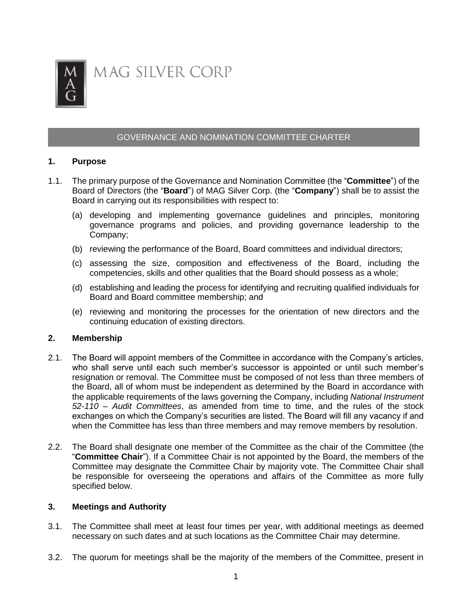

# GOVERNANCE AND NOMINATION COMMITTEE CHARTER

## **1. Purpose**

- 1.1. The primary purpose of the Governance and Nomination Committee (the "**Committee**") of the Board of Directors (the "**Board**") of MAG Silver Corp. (the "**Company**") shall be to assist the Board in carrying out its responsibilities with respect to:
	- (a) developing and implementing governance guidelines and principles, monitoring governance programs and policies, and providing governance leadership to the Company;
	- (b) reviewing the performance of the Board, Board committees and individual directors;
	- (c) assessing the size, composition and effectiveness of the Board, including the competencies, skills and other qualities that the Board should possess as a whole;
	- (d) establishing and leading the process for identifying and recruiting qualified individuals for Board and Board committee membership; and
	- (e) reviewing and monitoring the processes for the orientation of new directors and the continuing education of existing directors.

### **2. Membership**

- 2.1. The Board will appoint members of the Committee in accordance with the Company's articles, who shall serve until each such member's successor is appointed or until such member's resignation or removal. The Committee must be composed of not less than three members of the Board, all of whom must be independent as determined by the Board in accordance with the applicable requirements of the laws governing the Company, including *National Instrument 52-110 – Audit Committees*, as amended from time to time, and the rules of the stock exchanges on which the Company's securities are listed. The Board will fill any vacancy if and when the Committee has less than three members and may remove members by resolution.
- 2.2. The Board shall designate one member of the Committee as the chair of the Committee (the "**Committee Chair**"). If a Committee Chair is not appointed by the Board, the members of the Committee may designate the Committee Chair by majority vote. The Committee Chair shall be responsible for overseeing the operations and affairs of the Committee as more fully specified below.

#### **3. Meetings and Authority**

- 3.1. The Committee shall meet at least four times per year, with additional meetings as deemed necessary on such dates and at such locations as the Committee Chair may determine.
- 3.2. The quorum for meetings shall be the majority of the members of the Committee, present in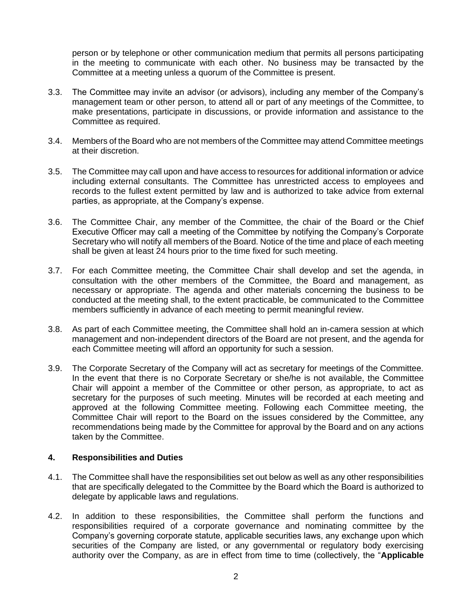person or by telephone or other communication medium that permits all persons participating in the meeting to communicate with each other. No business may be transacted by the Committee at a meeting unless a quorum of the Committee is present.

- 3.3. The Committee may invite an advisor (or advisors), including any member of the Company's management team or other person, to attend all or part of any meetings of the Committee, to make presentations, participate in discussions, or provide information and assistance to the Committee as required.
- 3.4. Members of the Board who are not members of the Committee may attend Committee meetings at their discretion.
- 3.5. The Committee may call upon and have access to resources for additional information or advice including external consultants. The Committee has unrestricted access to employees and records to the fullest extent permitted by law and is authorized to take advice from external parties, as appropriate, at the Company's expense.
- 3.6. The Committee Chair, any member of the Committee, the chair of the Board or the Chief Executive Officer may call a meeting of the Committee by notifying the Company's Corporate Secretary who will notify all members of the Board. Notice of the time and place of each meeting shall be given at least 24 hours prior to the time fixed for such meeting.
- 3.7. For each Committee meeting, the Committee Chair shall develop and set the agenda, in consultation with the other members of the Committee, the Board and management, as necessary or appropriate. The agenda and other materials concerning the business to be conducted at the meeting shall, to the extent practicable, be communicated to the Committee members sufficiently in advance of each meeting to permit meaningful review.
- 3.8. As part of each Committee meeting, the Committee shall hold an in-camera session at which management and non-independent directors of the Board are not present, and the agenda for each Committee meeting will afford an opportunity for such a session.
- 3.9. The Corporate Secretary of the Company will act as secretary for meetings of the Committee. In the event that there is no Corporate Secretary or she/he is not available, the Committee Chair will appoint a member of the Committee or other person, as appropriate, to act as secretary for the purposes of such meeting. Minutes will be recorded at each meeting and approved at the following Committee meeting. Following each Committee meeting, the Committee Chair will report to the Board on the issues considered by the Committee, any recommendations being made by the Committee for approval by the Board and on any actions taken by the Committee.

## **4. Responsibilities and Duties**

- 4.1. The Committee shall have the responsibilities set out below as well as any other responsibilities that are specifically delegated to the Committee by the Board which the Board is authorized to delegate by applicable laws and regulations.
- 4.2. In addition to these responsibilities, the Committee shall perform the functions and responsibilities required of a corporate governance and nominating committee by the Company's governing corporate statute, applicable securities laws, any exchange upon which securities of the Company are listed, or any governmental or regulatory body exercising authority over the Company, as are in effect from time to time (collectively, the "**Applicable**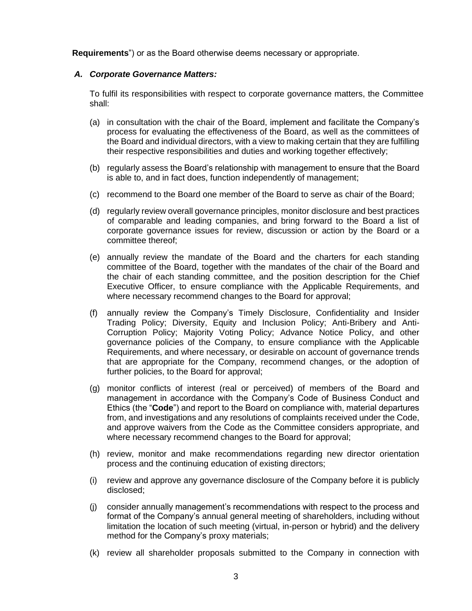**Requirements**") or as the Board otherwise deems necessary or appropriate.

### *A. Corporate Governance Matters:*

To fulfil its responsibilities with respect to corporate governance matters, the Committee shall:

- (a) in consultation with the chair of the Board, implement and facilitate the Company's process for evaluating the effectiveness of the Board, as well as the committees of the Board and individual directors, with a view to making certain that they are fulfilling their respective responsibilities and duties and working together effectively;
- (b) regularly assess the Board's relationship with management to ensure that the Board is able to, and in fact does, function independently of management;
- (c) recommend to the Board one member of the Board to serve as chair of the Board;
- (d) regularly review overall governance principles, monitor disclosure and best practices of comparable and leading companies, and bring forward to the Board a list of corporate governance issues for review, discussion or action by the Board or a committee thereof;
- (e) annually review the mandate of the Board and the charters for each standing committee of the Board, together with the mandates of the chair of the Board and the chair of each standing committee, and the position description for the Chief Executive Officer, to ensure compliance with the Applicable Requirements, and where necessary recommend changes to the Board for approval;
- (f) annually review the Company's Timely Disclosure, Confidentiality and Insider Trading Policy; Diversity, Equity and Inclusion Policy; Anti-Bribery and Anti-Corruption Policy; Majority Voting Policy; Advance Notice Policy, and other governance policies of the Company, to ensure compliance with the Applicable Requirements, and where necessary, or desirable on account of governance trends that are appropriate for the Company, recommend changes, or the adoption of further policies, to the Board for approval;
- (g) monitor conflicts of interest (real or perceived) of members of the Board and management in accordance with the Company's Code of Business Conduct and Ethics (the "**Code**") and report to the Board on compliance with, material departures from, and investigations and any resolutions of complaints received under the Code, and approve waivers from the Code as the Committee considers appropriate, and where necessary recommend changes to the Board for approval;
- (h) review, monitor and make recommendations regarding new director orientation process and the continuing education of existing directors;
- (i) review and approve any governance disclosure of the Company before it is publicly disclosed;
- (j) consider annually management's recommendations with respect to the process and format of the Company's annual general meeting of shareholders, including without limitation the location of such meeting (virtual, in-person or hybrid) and the delivery method for the Company's proxy materials;
- (k) review all shareholder proposals submitted to the Company in connection with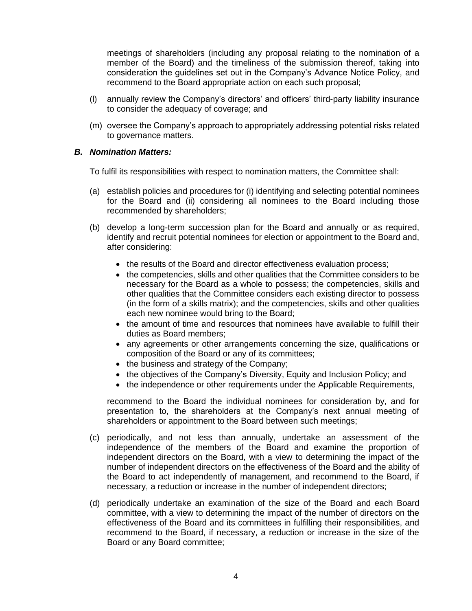meetings of shareholders (including any proposal relating to the nomination of a member of the Board) and the timeliness of the submission thereof, taking into consideration the guidelines set out in the Company's Advance Notice Policy, and recommend to the Board appropriate action on each such proposal;

- (l) annually review the Company's directors' and officers' third-party liability insurance to consider the adequacy of coverage; and
- (m) oversee the Company's approach to appropriately addressing potential risks related to governance matters.

#### *B. Nomination Matters:*

To fulfil its responsibilities with respect to nomination matters, the Committee shall:

- (a) establish policies and procedures for (i) identifying and selecting potential nominees for the Board and (ii) considering all nominees to the Board including those recommended by shareholders;
- (b) develop a long-term succession plan for the Board and annually or as required, identify and recruit potential nominees for election or appointment to the Board and, after considering:
	- the results of the Board and director effectiveness evaluation process;
	- the competencies, skills and other qualities that the Committee considers to be necessary for the Board as a whole to possess; the competencies, skills and other qualities that the Committee considers each existing director to possess (in the form of a skills matrix); and the competencies, skills and other qualities each new nominee would bring to the Board;
	- the amount of time and resources that nominees have available to fulfill their duties as Board members;
	- any agreements or other arrangements concerning the size, qualifications or composition of the Board or any of its committees;
	- the business and strategy of the Company;
	- the objectives of the Company's Diversity, Equity and Inclusion Policy; and
	- the independence or other requirements under the Applicable Requirements,

recommend to the Board the individual nominees for consideration by, and for presentation to, the shareholders at the Company's next annual meeting of shareholders or appointment to the Board between such meetings;

- (c) periodically, and not less than annually, undertake an assessment of the independence of the members of the Board and examine the proportion of independent directors on the Board, with a view to determining the impact of the number of independent directors on the effectiveness of the Board and the ability of the Board to act independently of management, and recommend to the Board, if necessary, a reduction or increase in the number of independent directors;
- (d) periodically undertake an examination of the size of the Board and each Board committee, with a view to determining the impact of the number of directors on the effectiveness of the Board and its committees in fulfilling their responsibilities, and recommend to the Board, if necessary, a reduction or increase in the size of the Board or any Board committee;